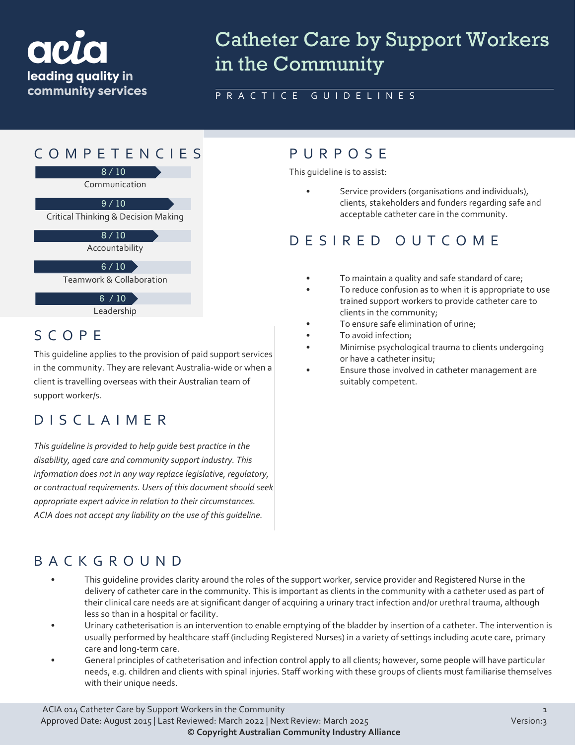

# Catheter Care by Support Workers in the Community

PRACTICE GUIDELINES

## COMPETENCIES PURPOS E

8 / 10

Communication

 $9/10$ 

Critical Thinking & Decision Making

 $8/10$ 

Accountability

 $6 / 10$ 

Teamwork & Collaboration

6 / 10

Leadership

#### SCOPE

This guideline applies to the provision of paid support services in the community. They are relevant Australia-wide or when a client is travelling overseas with their Australian team of support worker/s.

## DISCLAIMER

*This guideline is provided to help guide best practice in the disability, aged care and community support industry. This information does not in any way replace legislative, regulatory, or contractual requirements. Users of this document should seek appropriate expert advice in relation to their circumstances. ACIA does not accept any liability on the use of this guideline.*

This guideline is to assist:

Service providers (organisations and individuals), clients, stakeholders and funders regarding safe and acceptable catheter care in the community.

#### DESIRED OUTCOME

- To maintain a quality and safe standard of care;
- To reduce confusion as to when it is appropriate to use trained support workers to provide catheter care to clients in the community;
- To ensure safe elimination of urine;
- To avoid infection;
- Minimise psychological trauma to clients undergoing or have a catheter insitu;
- Ensure those involved in catheter management are suitably competent.

## BACKGROUND

- This quideline provides clarity around the roles of the support worker, service provider and Reqistered Nurse in the delivery of catheter care in the community. This is important as clients in the community with a catheter used as part of their clinical care needs are at significant danger of acquiring a urinary tract infection and/or urethral trauma, although less so than in a hospital or facility.
- Urinary catheterisation is an intervention to enable emptying of the bladder by insertion of a catheter. The intervention is usually performed by healthcare staff (including Registered Nurses) in a variety of settings including acute care, primary care and long-term care.
- General principles of catheterisation and infection control apply to all clients; however, some people will have particular needs, e.g. children and clients with spinal injuries. Staff working with these groups of clients must familiarise themselves with their unique needs.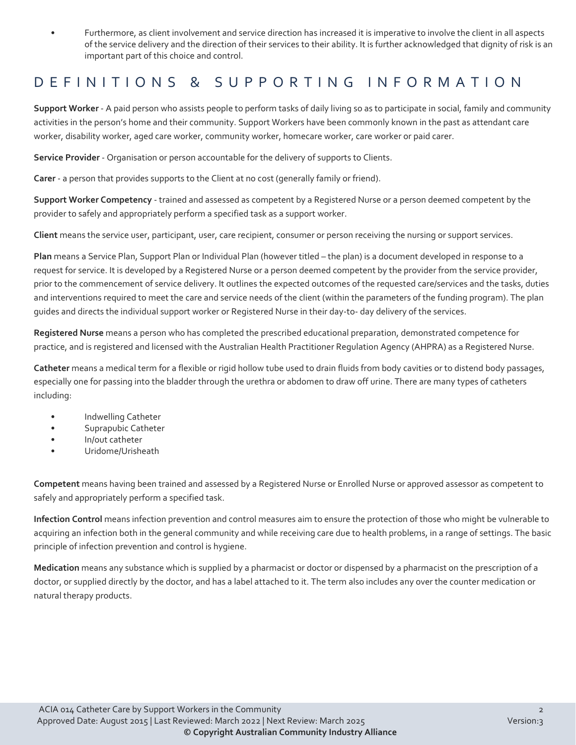• Furthermore, as client involvement and service direction has increased it is imperative to involve the client in all aspects of the service delivery and the direction of their services to their ability. It is further acknowledged that dignity of risk is an important part of this choice and control.

#### DEFINITIONS & SUPPORTING INFORMATION

**Support Worker** - A paid person who assists people to perform tasks of daily living so as to participate in social, family and community activities in the person's home and their community. Support Workers have been commonly known in the past as attendant care worker, disability worker, aged care worker, community worker, homecare worker, care worker or paid carer.

**Service Provider** - Organisation or person accountable for the delivery of supports to Clients.

**Carer** - a person that provides supports to the Client at no cost (generally family or friend).

**Support Worker Competency** - trained and assessed as competent by a Registered Nurse or a person deemed competent by the provider to safely and appropriately perform a specified task as a support worker.

**Client** means the service user, participant, user, care recipient, consumer or person receiving the nursing or support services.

**Plan** means a Service Plan, Support Plan or Individual Plan (however titled – the plan) is a document developed in response to a request for service. It is developed by a Registered Nurse or a person deemed competent by the provider from the service provider, prior to the commencement of service delivery. It outlines the expected outcomes of the requested care/services and the tasks, duties and interventions required to meet the care and service needs of the client (within the parameters of the funding program). The plan guides and directs the individual support worker or Registered Nurse in their day-to- day delivery of the services.

**Registered Nurse** means a person who has completed the prescribed educational preparation, demonstrated competence for practice, and is registered and licensed with the Australian Health Practitioner Regulation Agency (AHPRA) as a Registered Nurse.

**Catheter** means a medical term for a flexible or rigid hollow tube used to drain fluids from body cavities or to distend body passages, especially one for passing into the bladder through the urethra or abdomen to draw off urine. There are many types of catheters including:

- Indwelling Catheter
- Suprapubic Catheter
- In/out catheter
- Uridome/Urisheath

**Competent** means having been trained and assessed by a Registered Nurse or Enrolled Nurse or approved assessor as competent to safely and appropriately perform a specified task.

**Infection Control** means infection prevention and control measures aim to ensure the protection of those who might be vulnerable to acquiring an infection both in the general community and while receiving care due to health problems, in a range of settings. The basic principle of infection prevention and control is hygiene.

**Medication** means any substance which is supplied by a pharmacist or doctor or dispensed by a pharmacist on the prescription of a doctor, or supplied directly by the doctor, and has a label attached to it. The term also includes any over the counter medication or natural therapy products.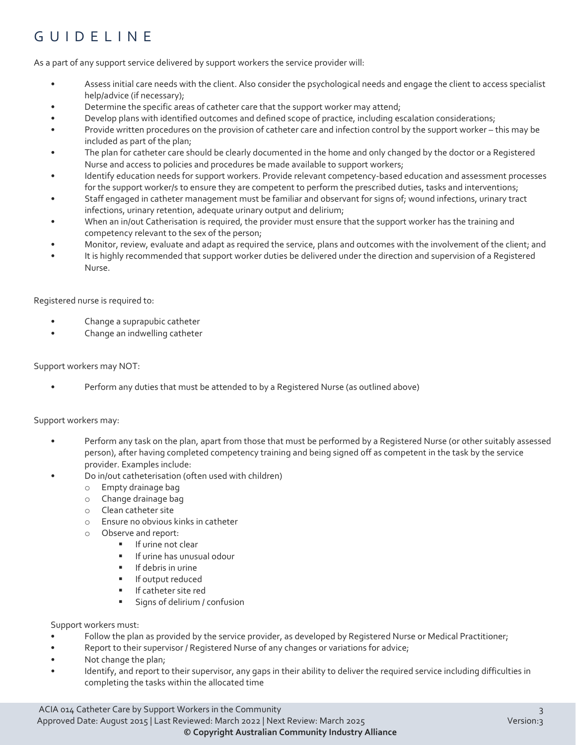## GUIDELINE

As a part of any support service delivered by support workers the service provider will:

- Assess initial care needs with the client. Also consider the psychological needs and engage the client to access specialist help/advice (if necessary);
- Determine the specific areas of catheter care that the support worker may attend;
- Develop plans with identified outcomes and defined scope of practice, including escalation considerations;
- Provide written procedures on the provision of catheter care and infection control by the support worker this may be included as part of the plan;
- The plan for catheter care should be clearly documented in the home and only changed by the doctor or a Registered Nurse and access to policies and procedures be made available to support workers;
- Identify education needs for support workers. Provide relevant competency-based education and assessment processes for the support worker/s to ensure they are competent to perform the prescribed duties, tasks and interventions;
- Staff engaged in catheter management must be familiar and observant for signs of; wound infections, urinary tract infections, urinary retention, adequate urinary output and delirium;
- When an in/out Catherisation is required, the provider must ensure that the support worker has the training and competency relevant to the sex of the person;
- Monitor, review, evaluate and adapt as required the service, plans and outcomes with the involvement of the client; and
- It is highly recommended that support worker duties be delivered under the direction and supervision of a Registered Nurse.

Registered nurse is required to:

- Change a suprapubic catheter
- Change an indwelling catheter

#### Support workers may NOT:

• Perform any duties that must be attended to by a Registered Nurse (as outlined above)

#### Support workers may:

- Perform any task on the plan, apart from those that must be performed by a Registered Nurse (or other suitably assessed person), after having completed competency training and being signed off as competent in the task by the service provider. Examples include:
- Do in/out catheterisation (often used with children)
	- o Empty drainage bag
	- o Change drainage bag
	- o Clean catheter site
	- o Ensure no obvious kinks in catheter
	- $\circ$  Observe and report:<br> $\bullet$  If urine not
		- If urine not clear
		- **If urine has unusual odour**
		- $\blacksquare$  If debris in urine
		- **If output reduced**
		- **If catheter site red**
		- **Signs of delirium / confusion**

Support workers must:

- Follow the plan as provided by the service provider, as developed by Registered Nurse or Medical Practitioner;
- Report to their supervisor / Registered Nurse of any changes or variations for advice;
- Not change the plan;
- Identify, and report to their supervisor, any gaps in their ability to deliver the required service including difficulties in completing the tasks within the allocated time